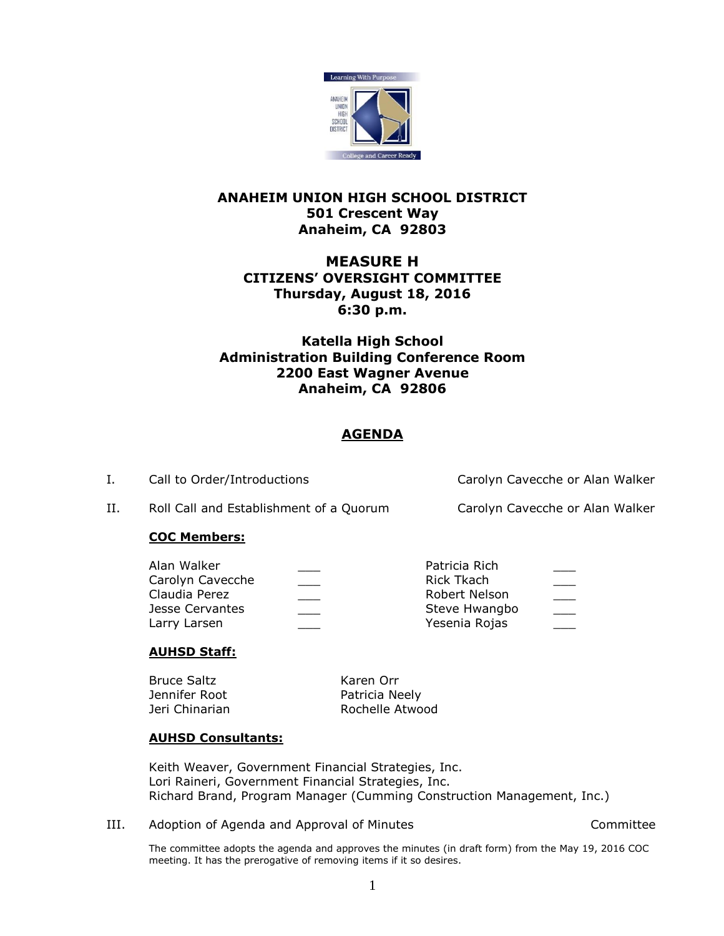

## **ANAHEIM UNION HIGH SCHOOL DISTRICT 501 Crescent Way Anaheim, CA 92803**

# **MEASURE H CITIZENS' OVERSIGHT COMMITTEE Thursday, August 18, 2016 6:30 p.m.**

# **Katella High School Administration Building Conference Room 2200 East Wagner Avenue Anaheim, CA 92806**

# **AGENDA**

I. Call to Order/Introductions Carolyn Cavecche or Alan Walker

II. Roll Call and Establishment of a Quorum Carolyn Cavecche or Alan Walker

## **COC Members:**

| Alan Walker      | Patricia Rich | ___ |
|------------------|---------------|-----|
| Carolyn Cavecche | Rick Tkach    |     |
| Claudia Perez    | Robert Nelson |     |
| Jesse Cervantes  | Steve Hwangbo |     |
| Larry Larsen     | Yesenia Rojas |     |

## **AUHSD Staff:**

| Bruce Saltz    | Karen Orr       |
|----------------|-----------------|
| Jennifer Root  | Patricia Neely  |
| Jeri Chinarian | Rochelle Atwood |

## **AUHSD Consultants:**

Keith Weaver, Government Financial Strategies, Inc. Lori Raineri, Government Financial Strategies, Inc. Richard Brand, Program Manager (Cumming Construction Management, Inc.)

III. Adoption of Agenda and Approval of Minutes **Accord Accommittee** 

The committee adopts the agenda and approves the minutes (in draft form) from the May 19, 2016 COC meeting. It has the prerogative of removing items if it so desires.